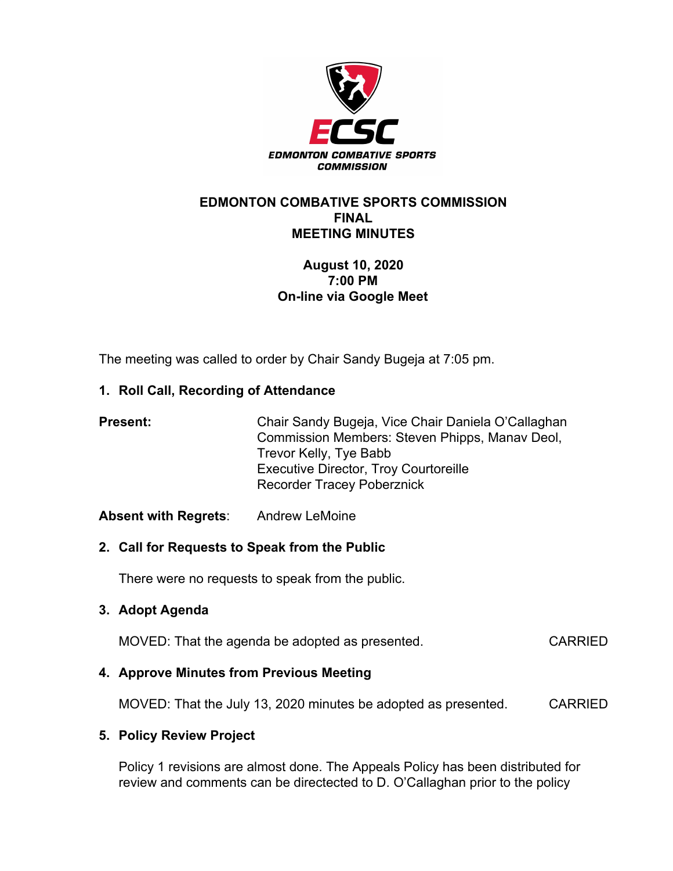

#### **EDMONTON COMBATIVE SPORTS COMMISSION FINAL MEETING MINUTES**

# **August 10, 2020 7:00 PM On-line via Google Meet**

The meeting was called to order by Chair Sandy Bugeja at 7:05 pm.

## **1. Roll Call, Recording of Attendance**

| <b>Present:</b> | Chair Sandy Bugeja, Vice Chair Daniela O'Callaghan<br>Commission Members: Steven Phipps, Manay Deol, |
|-----------------|------------------------------------------------------------------------------------------------------|
|                 | Trevor Kelly, Tye Babb                                                                               |
|                 | <b>Executive Director, Troy Courtoreille</b>                                                         |
|                 | <b>Recorder Tracey Poberznick</b>                                                                    |

## **Absent with Regrets**: Andrew LeMoine

## **2. Call for Requests to Speak from the Public**

There were no requests to speak from the public.

## **3. Adopt Agenda**

MOVED: That the agenda be adopted as presented. CARRIED

## **4. Approve Minutes from Previous Meeting**

MOVED: That the July 13, 2020 minutes be adopted as presented. CARRIED

## **5. Policy Review Project**

Policy 1 revisions are almost done. The Appeals Policy has been distributed for review and comments can be directected to D. O'Callaghan prior to the policy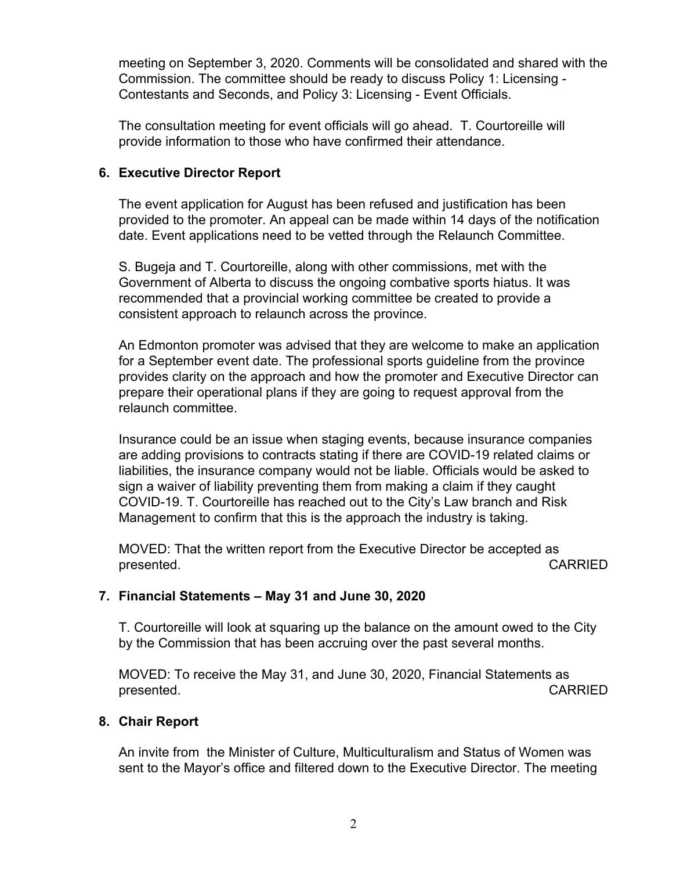meeting on September 3, 2020. Comments will be consolidated and shared with the Commission. The committee should be ready to discuss Policy 1: Licensing - Contestants and Seconds, and Policy 3: Licensing - Event Officials.

The consultation meeting for event officials will go ahead. T. Courtoreille will provide information to those who have confirmed their attendance.

## **6. Executive Director Report**

The event application for August has been refused and justification has been provided to the promoter. An appeal can be made within 14 days of the notification date. Event applications need to be vetted through the Relaunch Committee.

S. Bugeja and T. Courtoreille, along with other commissions, met with the Government of Alberta to discuss the ongoing combative sports hiatus. It was recommended that a provincial working committee be created to provide a consistent approach to relaunch across the province.

An Edmonton promoter was advised that they are welcome to make an application for a September event date. The professional sports guideline from the province provides clarity on the approach and how the promoter and Executive Director can prepare their operational plans if they are going to request approval from the relaunch committee.

Insurance could be an issue when staging events, because insurance companies are adding provisions to contracts stating if there are COVID-19 related claims or liabilities, the insurance company would not be liable. Officials would be asked to sign a waiver of liability preventing them from making a claim if they caught COVID-19. T. Courtoreille has reached out to the City's Law branch and Risk Management to confirm that this is the approach the industry is taking.

MOVED: That the written report from the Executive Director be accepted as presented. **CARRIED** 

## **7. Financial Statements – May 31 and June 30, 2020**

T. Courtoreille will look at squaring up the balance on the amount owed to the City by the Commission that has been accruing over the past several months.

MOVED: To receive the May 31, and June 30, 2020, Financial Statements as presented. **CARRIED** 

#### **8. Chair Report**

An invite from the Minister of Culture, Multiculturalism and Status of Women was sent to the Mayor's office and filtered down to the Executive Director. The meeting